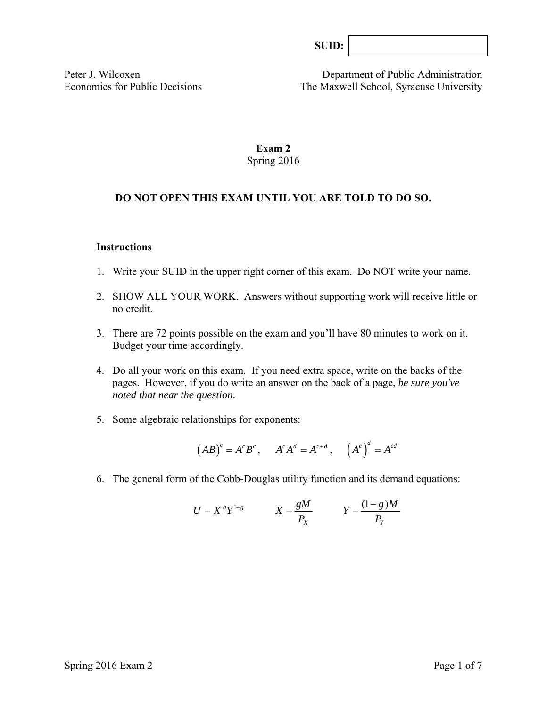Peter J. Wilcoxen Department of Public Administration Economics for Public Decisions The Maxwell School, Syracuse University

# **Exam 2**  Spring 2016

# **DO NOT OPEN THIS EXAM UNTIL YOU ARE TOLD TO DO SO.**

#### **Instructions**

- 1. Write your SUID in the upper right corner of this exam. Do NOT write your name.
- 2. SHOW ALL YOUR WORK. Answers without supporting work will receive little or no credit.
- 3. There are 72 points possible on the exam and you'll have 80 minutes to work on it. Budget your time accordingly.
- 4. Do all your work on this exam. If you need extra space, write on the backs of the pages. However, if you do write an answer on the back of a page, *be sure you've noted that near the question*.
- 5. Some algebraic relationships for exponents:

$$
(AB)^c = A^c B^c
$$
,  $A^c A^d = A^{c+d}$ ,  $(A^c)^d = A^{cd}$ 

6. The general form of the Cobb-Douglas utility function and its demand equations:

$$
U = X^s Y^{1-s} \qquad X = \frac{gM}{P_X} \qquad Y = \frac{(1-g)M}{P_Y}
$$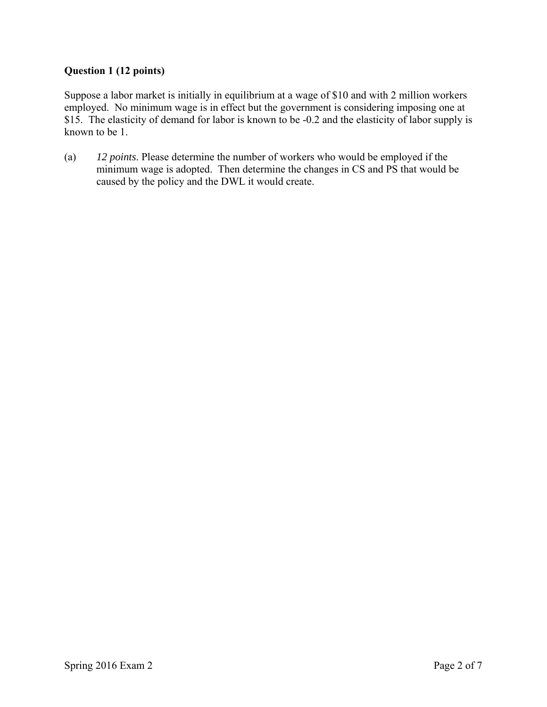# **Question 1 (12 points)**

Suppose a labor market is initially in equilibrium at a wage of \$10 and with 2 million workers employed. No minimum wage is in effect but the government is considering imposing one at \$15. The elasticity of demand for labor is known to be -0.2 and the elasticity of labor supply is known to be 1.

(a) *12 points*. Please determine the number of workers who would be employed if the minimum wage is adopted. Then determine the changes in CS and PS that would be caused by the policy and the DWL it would create.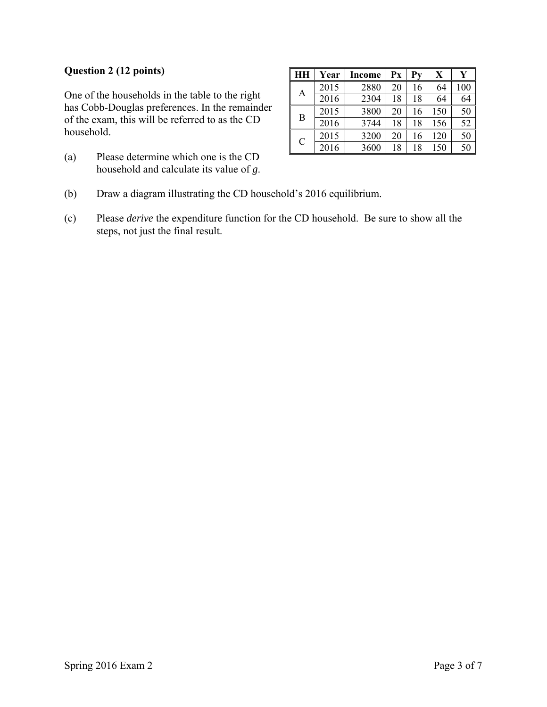### **Question 2 (12 points)**

One of the households in the table to the right has Cobb-Douglas preferences. In the remainder of the exam, this will be referred to as the CD household.

(a) Please determine which one is the CD household and calculate its value of *g*.

|               | Year | <b>Income</b> | Px | $P_{V}$ | X   |     |
|---------------|------|---------------|----|---------|-----|-----|
| А             | 2015 | 2880          | 20 | 16      | 64  | 100 |
|               | 2016 | 2304          | 18 | 18      | 64  | 64  |
| B             | 2015 | 3800          | 20 | 16      | 150 | 50  |
|               | 2016 | 3744          | 18 | 18      | 156 | 52  |
| $\mathcal{C}$ | 2015 | 3200          | 20 | 16      | 120 | 50  |
|               | 2016 | 3600          | 18 | 18      | 150 | 50  |

- (b) Draw a diagram illustrating the CD household's 2016 equilibrium.
- (c) Please *derive* the expenditure function for the CD household. Be sure to show all the steps, not just the final result.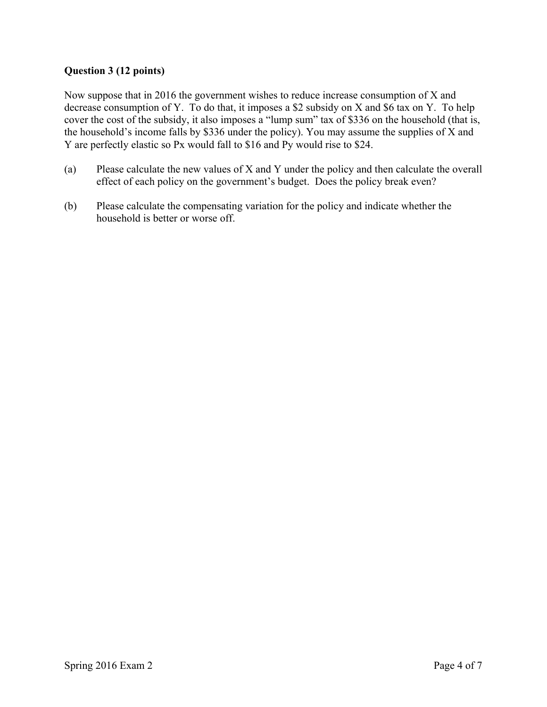# **Question 3 (12 points)**

Now suppose that in 2016 the government wishes to reduce increase consumption of X and decrease consumption of Y. To do that, it imposes a \$2 subsidy on X and \$6 tax on Y. To help cover the cost of the subsidy, it also imposes a "lump sum" tax of \$336 on the household (that is, the household's income falls by \$336 under the policy). You may assume the supplies of X and Y are perfectly elastic so Px would fall to \$16 and Py would rise to \$24.

- (a) Please calculate the new values of X and Y under the policy and then calculate the overall effect of each policy on the government's budget. Does the policy break even?
- (b) Please calculate the compensating variation for the policy and indicate whether the household is better or worse off.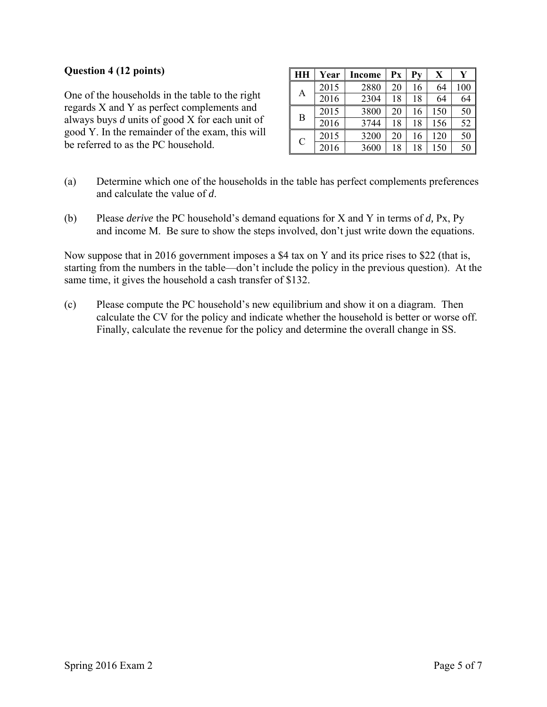#### **Question 4 (12 points)**

One of the households in the table to the right regards X and Y as perfect complements and always buys *d* units of good X for each unit of good Y. In the remainder of the exam, this will be referred to as the PC household.

| <b>HH</b>     | Year | Income | Px | $P_{\rm V}$ | X   | Y   |
|---------------|------|--------|----|-------------|-----|-----|
| А             | 2015 | 2880   | 20 | 16          | 64  | 100 |
|               | 2016 | 2304   | 18 | 18          | 64  | 64  |
| B             | 2015 | 3800   | 20 | 16          | 150 | 50  |
|               | 2016 | 3744   | 18 | 18          | 156 | 52  |
| $\mathcal{C}$ | 2015 | 3200   | 20 | 16          | 120 | 50  |
|               | 2016 | 3600   | 18 | 18          | 150 | 50  |

- (a) Determine which one of the households in the table has perfect complements preferences and calculate the value of *d*.
- (b) Please *derive* the PC household's demand equations for X and Y in terms of *d,* Px, Py and income M. Be sure to show the steps involved, don't just write down the equations.

Now suppose that in 2016 government imposes a \$4 tax on Y and its price rises to \$22 (that is, starting from the numbers in the table—don't include the policy in the previous question). At the same time, it gives the household a cash transfer of \$132.

(c) Please compute the PC household's new equilibrium and show it on a diagram. Then calculate the CV for the policy and indicate whether the household is better or worse off. Finally, calculate the revenue for the policy and determine the overall change in SS.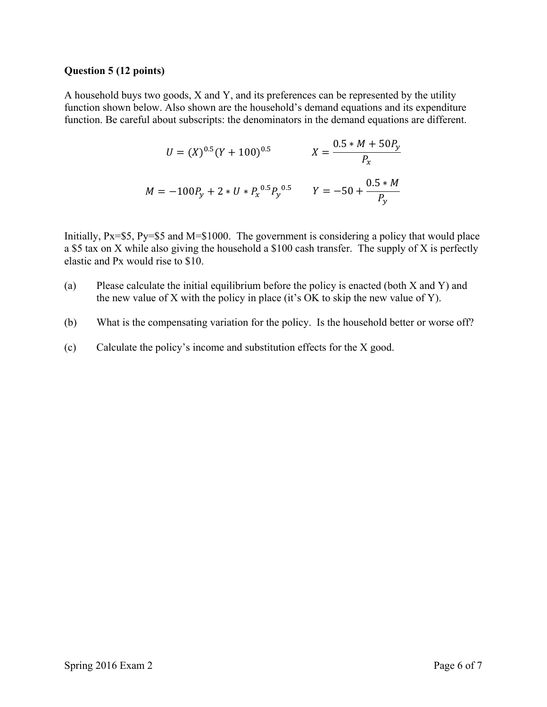#### **Question 5 (12 points)**

A household buys two goods, X and Y, and its preferences can be represented by the utility function shown below. Also shown are the household's demand equations and its expenditure function. Be careful about subscripts: the denominators in the demand equations are different.

$$
U = (X)^{0.5} (Y + 100)^{0.5}
$$

$$
X = \frac{0.5 * M + 50P_y}{P_x}
$$

$$
M = -100P_y + 2 * U * P_x^{0.5} P_y^{0.5}
$$

$$
Y = -50 + \frac{0.5 * M}{P_y}
$$

Initially, Px=\$5, Py=\$5 and M=\$1000. The government is considering a policy that would place a \$5 tax on X while also giving the household a \$100 cash transfer. The supply of X is perfectly elastic and Px would rise to \$10.

- (a) Please calculate the initial equilibrium before the policy is enacted (both X and Y) and the new value of X with the policy in place (it's OK to skip the new value of Y).
- (b) What is the compensating variation for the policy. Is the household better or worse off?
- (c) Calculate the policy's income and substitution effects for the X good.